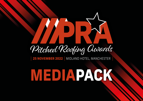

**25 NOVEMBER 2022** | MIDLAND HOTEL, MANCHESTER

# **[MEDIAPACK](https://www.pitchedroofingawards.co.uk/)**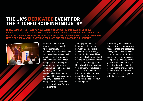### **THE UK'S DEDICATED EVENT FOR THE PITCHED ROOFING INDUSTRY**

FIRMLY ESTABLISHING ITSELF AS A KEY EVENT IN THE INDUSTRY CALENDAR, THE PITCHED ROOFING AWARDS, WHICH IS NOW IN ITS FOURTH YEAR, SERVES TO RECOGNISE AND REWARD THE IMPORTANT CONTRIBUTION THIS PART OF THE ROOFING SECTOR MAKES TO DELIVER OUTSTANDING LEVELS OF WORKMANSHIP, INNOVATIVE PRODUCTS, AND DESIGN ACROSS THE INDUSTRY.



From the creative use of products used on a project, to the complexity of the installation and the individuals who have demonstrated high quality across the industry, the Pitched Roofing Awards recognises these exceptional contributions through an extensive range of categories spanning across the residential and commercial aspects of the sector, so there is plenty of opportunity for companies and individuals to be acknowledged for their achievements.

Through promoting the important collaboration between manufacturers and contractors, winning a Pitched Roofing Award is an exceptional achievement and has proven business benefits for all shortlisted applicants. Not only will it help to enhance your company's reputation in the eyes of your customers, but it will also help to raise its profile and secure a competitive edge over your industry peers.

Considering the challenges the construction industry has faced in these unprecedented times, there is no better year to enter the Pitched Roofing Awards to give your business a competitive edge. So, why not join us as we unite and shine a spotlight on all the great aspects of the pitched roofing industry, with the possibility that your project may get the attention it deserves!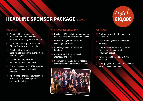## **HEADLINE SPONSOR PACKAGE (SOLUS)**



- Prominent logo branding on all pre-event marketing material (includes advertising, emails and PR)
- $\sqrt{2}$  100-word company profile on the Pitched Roofing Awards website
- Prominent logo branding as the  $\prec$ z headline sponsor on the event e-ticket (sent to all guests)
- One independent HTML email  $\prec$  $\chi$ announcing you as the sponsor
- One full-page advert in RCI magazine イズ announcing you as the headline sponsor
- $\sqrt{x}$  A half-page editorial announcing you as the sponsor and why you feel it's good for the industry

#### AT THE AWARDS CEREMONY

- $\sqrt{2}$  One table of 10 (includes a three-course meal and half a bottle of wine per person)
- $\Diamond$  Prominent logo branding on the event signage and AV
- $\Diamond$  A full-page advert in the winners brochure
- An opportunity to network with attendees and VIPs
- Opportunity to include a 10-20 second video advert into the awards presentation



#### POST-EVENT

 $\triangleleft$  A full-page advert in RCI magazine post event

Total<br>£10,000

- $\sqrt{\alpha}$  Logo branding in the post awards write-up
- $\sqrt{a}$  A button advert on the RCI website for one-month post event (300 x 100 pixels)
- $\sqrt{a}$  Awards website branding until the live event
- A full-page editorial in the post awards  $\overrightarrow{\mathbf{x}}$ write up, event overview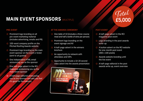# **MAIN EVENT SPONSORS** (MULTIPLE)

#### PRE-EVENT

- Prominent logo branding on all pre-event marketing material (includes advertising, emails and PR)
- $\sqrt{2}$  100-word company profile on the Pitched Roofing Awards website
- Prominent logo branding as the main event sponsor on the event e-ticket (sent to all guests)
- One independent HTML email announcing you as the sponsor
- One half-page advert in the RCI magazine announcing you as the main event sponsor
- $\alpha$  A half-page editorial announcing you as the sponsor and why you feel it's good for the industry

#### AT THE AWARDS CEREMONY

- $\sqrt{2}$  One table of 10 (includes a three-course meal and half a bottle of wine per person)
- Prominent logo branding on the event signage and AV
- $\forall x$  A half-page advert in the winners brochure
- An opportunity to network with attendees and VIPs
- Opportunity to include a 10-20 second video advert into the awards presentation



# Total<br>£5,000

#### POST-EVENT

- $\triangleleft$  A half-page advert in the RCI magazine post event
- $\sqrt{2}$  Logo branding in the post awards write-up
- $\sqrt{a}$  A button advert on the RCI website for one-month post event (300 x 100 pixels)
- $\triangleleft$  Awards website branding until the live event
- $\Diamond$  A half-page editorial in the post awards write up, event overview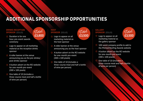## **ADDITIONAL SPONSORSHIP OPPORTUNITIES**

#### DRINKS RECEPTION SPONSOR (SOLUS)

- $\forall$  Duration is for one hour, pre-event awards ceremony
- $\Diamond$  Logo to appear on all marketing material as the reception drinks sponsor

£3,800

Total

- $\sqrt{a}$  A roller banner at the venue announcing you as the pre-drinks/ post drinks sponsor
- $\sqrt{a}$  A button advert on the RCI website for one-month pre-event (300 x 100 pixels)
- $\sqrt{2}$  One table of 10 (includes a three-course meal and half a bottle of wine per person)

#### **HOST** SPONSOR (SOLUS)

- Logo to appear on all くて marketing material as the host sponsor
- $\langle x \rangle$  A roller banner at the venue announcing you as the host sponsor
- $\sqrt{a}$  A button advert on the RCI website for one-month pre-event (300 x 100 pixels)
- $\triangle$  One table of 10 (includes a three-course meal and half a bottle of wine per person)

## £3,500 Total

#### **GALLERY** SPONSOR (SOLUS)

☆ Logo to appear on all marketing material as the gallery sponsor



- $\sqrt{2}$  100-word company profile to add to the Pitched Roofing Awards website
- $\sqrt{2}$  A button advert on the RCI website for one-month pre-event (300 x 100 pixels)
- One table of 10 (includes a ☆ three-course meal and half a bottle of wine per person)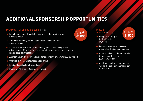## **ADDITIONAL SPONSORSHIP OPPORTUNITIES**

#### EVENING AFTER DRINKS SPONSOR (SOLUS)

- $\Diamond$  Logo to appear on all marketing material as the evening event drinks sponsor
- $\Diamond$  100-word company profile to add to the Pitched Roofing Awards website
- $\Diamond$  A roller banner at the venue announcing you as the evening event drinks sponsor (\*Limited for one hour until the money has been spent). It is an open bar thereafter

A button advert on the RCI website for one-month pre-event (300 x 100 pixels)

- One free drink for all attendees upon arrival
- Food and nibbles for all attendees
- Roped off VIP area. (\*Depends on venue)



#### TABLE GIFT SPONSOR (SOLUS)

Company to supply table gift at their own cost

### £1,500 Total

- Logo to appear on all marketing material as the table gift sponsor
- $\triangle$  A button advert on the RCI website for one-month pre-event (300 x 100 pixels)
- $\sqrt{x}$  A half-page editorial to announce you as the table gift sponsor prior to the event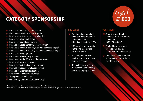## **[CATEGORY SPONSORSHIP](https://www.pitchedroofingawards.co.uk/2022-categories)**

- Best use of a flat to pitch roof system
- Best use of slate for a domestic project
- Best use of slate for a commercial project
- Best use of a hard metals roof
- Best use of a profiled metal roof
- Best use of a solid conservatory roof system
- Best use of concrete and clay tiles for a domestic project
- Best use of concrete and clay tiles for a commercial project
- Best use of a heritage roof
- Best use of a lead roof application
- Best use of a solar PR or solar thermal system
- Best use of a rainwater system
- Best use of a pitched green roof system
- Best use of a cedar shingles application
- Best use of a rooflight application
- Best ornamental feature on a roof
- Young achiever of the year
- Outstanding contribution to the industry

#### PRE-EVENT

- $\Diamond$  Prominent logo branding on all pre-event marketing material (includes advertising, emails and PR)
- 100-word company profile on the Pitched Roofing Awards website
- One independent HTML email announcing you as a category sponsor
- One half-page advert in RCI magazine announcing you as a category sponsor



#### POST-EVENT

- $\sqrt{a}$  A button advert on the RCI website for one-month post event (300 x 100 pixels)
- Pitched Roofing Awards website branding to continue until the live event
- One quarter-page editorial in the post awards write up, event overview

*\*Award categories are subject to change or be removed at the publishers discretion. Mark Allen Group will not be held responsible for categories which may have been changed or removed for any reason necessary*